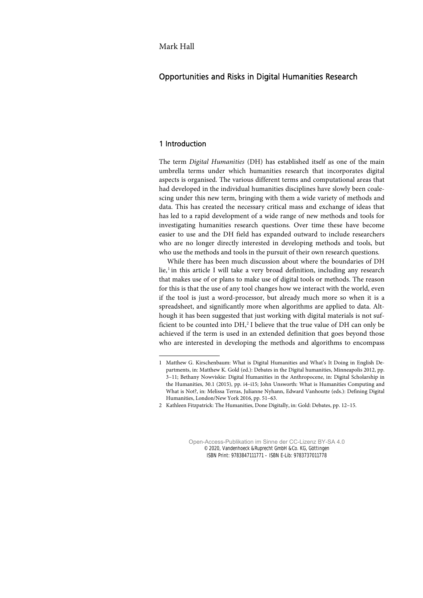# Opportunities and Risks in Digital Humanities Research

# 1 Introduction

The term *Digital Humanities* (DH) has established itself as one of the main umbrella terms under which humanities research that incorporates digital aspects is organised. The various different terms and computational areas that had developed in the individual humanities disciplines have slowly been coalescing under this new term, bringing with them a wide variety of methods and data. This has created the necessary critical mass and exchange of ideas that has led to a rapid development of a wide range of new methods and tools for investigating humanities research questions. Over time these have become easier to use and the DH field has expanded outward to include researchers who are no longer directly interested in developing methods and tools, but who use the methods and tools in the pursuit of their own research questions.

While there has been much discussion about where the boundaries of DH lie,<sup>[1](#page--1-0)</sup> in this article I will take a very broad definition, including any research that makes use of or plans to make use of digital tools or methods. The reason for this is that the use of any tool changes how we interact with the world, even if the tool is just a word-processor, but already much more so when it is a spreadsheet, and significantly more when algorithms are applied to data. Although it has been suggested that just working with digital materials is not sufficient to be counted into DH, [2](#page--1-1) I believe that the true value of DH can only be achieved if the term is used in an extended definition that goes beyond those who are interested in developing the methods and algorithms to encompass

<sup>1</sup> Matthew G. Kirschenbaum: What is Digital Humanities and What's It Doing in English Departments, in: Matthew K. Gold (ed.): Debates in the Digital humanities, Minneapolis 2012, pp. 3–11; Bethany Nowviskie: Digital Humanities in the Anthropocene, in: Digital Scholarship in the Humanities, 30.1 (2015), pp. i4–i15; John Unsworth: What is Humanities Computing and What is Not?, in: Melissa Terras, Julianne Nyhann, Edward Vanhoutte (eds.): Defining Digital Humanities, London/New York 2016, pp. 51–63.

<sup>2</sup> Kathleen Fitzpatrick: The Humanities, Done Digitally, in: Gold: Debates, pp. 12–15.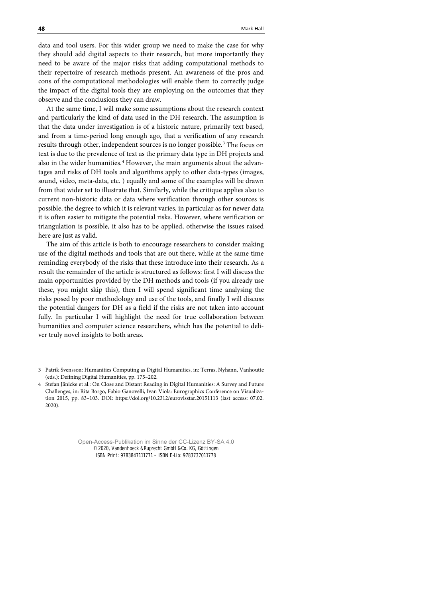data and tool users. For this wider group we need to make the case for why they should add digital aspects to their research, but more importantly they need to be aware of the major risks that adding computational methods to their repertoire of research methods present. An awareness of the pros and cons of the computational methodologies will enable them to correctly judge the impact of the digital tools they are employing on the outcomes that they observe and the conclusions they can draw.

At the same time, I will make some assumptions about the research context and particularly the kind of data used in the DH research. The assumption is that the data under investigation is of a historic nature, primarily text based, and from a time-period long enough ago, that a verification of any research results through other, independent sources is no longer possible.<sup>[3](#page--1-2)</sup> The focus on text is due to the prevalence of text as the primary data type in DH projects and also in the wider humanities.<sup>[4](#page--1-3)</sup> However, the main arguments about the advantages and risks of DH tools and algorithms apply to other data-types (images, sound, video, meta-data, etc. ) equally and some of the examples will be drawn from that wider set to illustrate that. Similarly, while the critique applies also to current non-historic data or data where verification through other sources is possible, the degree to which it is relevant varies, in particular as for newer data it is often easier to mitigate the potential risks. However, where verification or triangulation is possible, it also has to be applied, otherwise the issues raised here are just as valid.

The aim of this article is both to encourage researchers to consider making use of the digital methods and tools that are out there, while at the same time reminding everybody of the risks that these introduce into their research. As a result the remainder of the article is structured as follows: first I will discuss the main opportunities provided by the DH methods and tools (if you already use these, you might skip this), then I will spend significant time analysing the risks posed by poor methodology and use of the tools, and finally I will discuss the potential dangers for DH as a field if the risks are not taken into account fully. In particular I will highlight the need for true collaboration between humanities and computer science researchers, which has the potential to deliver truly novel insights to both areas.

<sup>3</sup> Patrik Svensson: Humanities Computing as Digital Humanities, in: Terras, Nyhann, Vanhoutte (eds.): Defining Digital Humanities, pp. 175–202.

<sup>4</sup> Stefan Jänicke et al.: On Close and Distant Reading in Digital Humanities: A Survey and Future Challenges, in: Rita Borgo, Fabio Ganovelli, Ivan Viola: Eurographics Conference on Visualization 2015, pp. 83–103. DOI: https://doi.org/10.2312/eurovisstar.20151113 (last access: 07.02. 2020).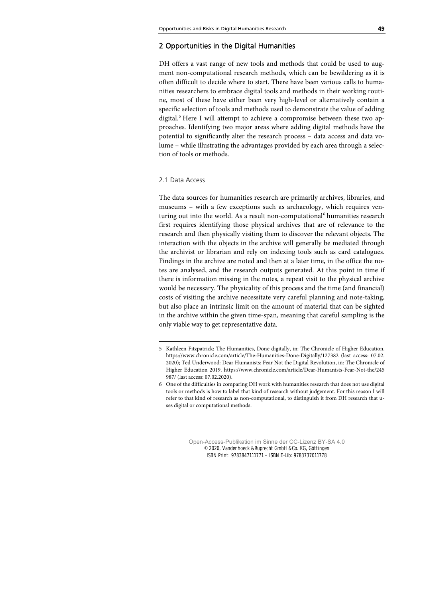# 2 Opportunities in the Digital Humanities

DH offers a vast range of new tools and methods that could be used to augment non-computational research methods, which can be bewildering as it is often difficult to decide where to start. There have been various calls to humanities researchers to embrace digital tools and methods in their working routine, most of these have either been very high-level or alternatively contain a specific selection of tools and methods used to demonstrate the value of adding digital.<sup>[5](#page--1-4)</sup> Here I will attempt to achieve a compromise between these two approaches. Identifying two major areas where adding digital methods have the potential to significantly alter the research process – data access and data volume – while illustrating the advantages provided by each area through a selection of tools or methods.

## 2.1 Data Access

The data sources for humanities research are primarily archives, libraries, and museums – with a few exceptions such as archaeology, which requires ven-turing out into the world. As a result non-computational<sup>[6](#page--1-5)</sup> humanities research first requires identifying those physical archives that are of relevance to the research and then physically visiting them to discover the relevant objects. The interaction with the objects in the archive will generally be mediated through the archivist or librarian and rely on indexing tools such as card catalogues. Findings in the archive are noted and then at a later time, in the office the notes are analysed, and the research outputs generated. At this point in time if there is information missing in the notes, a repeat visit to the physical archive would be necessary. The physicality of this process and the time (and financial) costs of visiting the archive necessitate very careful planning and note-taking, but also place an intrinsic limit on the amount of material that can be sighted in the archive within the given time-span, meaning that careful sampling is the only viable way to get representative data.

<sup>5</sup> Kathleen Fitzpatrick: The Humanities, Done digitally, in: The Chronicle of Higher Education. https://www.chronicle.com/article/The-Humanities-Done-Digitally/127382 (last access: 07.02. 2020); Ted Underwood: Dear Humanists: Fear Not the Digital Revolution, in: The Chronicle of Higher Education 2019. https://www.chronicle.com/article/Dear-Humanists-Fear-Not-the/245 987/ (last access: 07.02.2020).

<sup>6</sup> One of the difficulties in comparing DH work with humanities research that does not use digital tools or methods is how to label that kind of research without judgement. For this reason I will refer to that kind of research as non-computational, to distinguish it from DH research that uses digital or computational methods.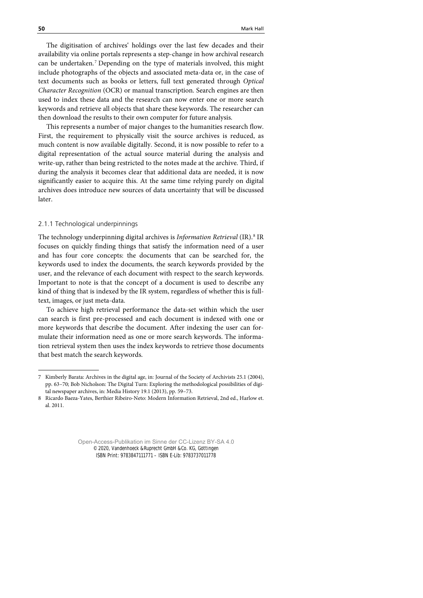The digitisation of archives' holdings over the last few decades and their availability via online portals represents a step-change in how archival research can be undertaken. [7](#page--1-6) Depending on the type of materials involved, this might include photographs of the objects and associated meta-data or, in the case of text documents such as books or letters, full text generated through *Optical Character Recognition* (OCR) or manual transcription. Search engines are then used to index these data and the research can now enter one or more search keywords and retrieve all objects that share these keywords. The researcher can then download the results to their own computer for future analysis.

This represents a number of major changes to the humanities research flow. First, the requirement to physically visit the source archives is reduced, as much content is now available digitally. Second, it is now possible to refer to a digital representation of the actual source material during the analysis and write-up, rather than being restricted to the notes made at the archive. Third, if during the analysis it becomes clear that additional data are needed, it is now significantly easier to acquire this. At the same time relying purely on digital archives does introduce new sources of data uncertainty that will be discussed later.

## 2.1.1 Technological underpinnings

The technology underpinning digital archives is *Information Retrieval* (IR).<sup>[8](#page--1-7)</sup> IR focuses on quickly finding things that satisfy the information need of a user and has four core concepts: the documents that can be searched for, the keywords used to index the documents, the search keywords provided by the user, and the relevance of each document with respect to the search keywords. Important to note is that the concept of a document is used to describe any kind of thing that is indexed by the IR system, regardless of whether this is fulltext, images, or just meta-data.

To achieve high retrieval performance the data-set within which the user can search is first pre-processed and each document is indexed with one or more keywords that describe the document. After indexing the user can formulate their information need as one or more search keywords. The information retrieval system then uses the index keywords to retrieve those documents that best match the search keywords.

<sup>7</sup> Kimberly Barata: Archives in the digital age, in: Journal of the Society of Archivists 25.1 (2004), pp. 63–70; Bob Nicholson: The Digital Turn: Exploring the methodological possibilities of digital newspaper archives, in: Media History 19.1 (2013), pp. 59–73.

<sup>8</sup> Ricardo Baeza-Yates, Berthier Ribeiro-Neto: Modern Information Retrieval, 2nd ed., Harlow et. al. 2011.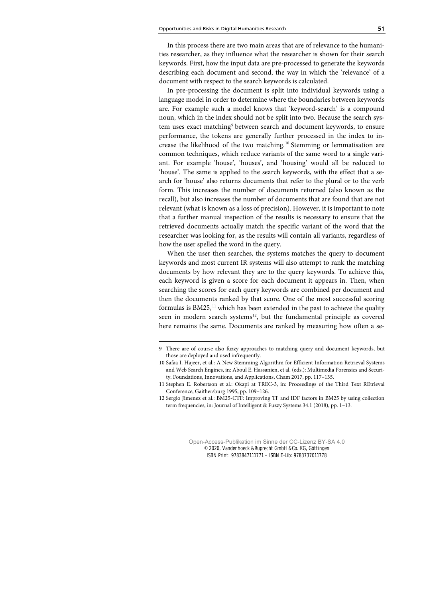In this process there are two main areas that are of relevance to the humanities researcher, as they influence what the researcher is shown for their search keywords. First, how the input data are pre-processed to generate the keywords describing each document and second, the way in which the 'relevance' of a document with respect to the search keywords is calculated.

In pre-processing the document is split into individual keywords using a language model in order to determine where the boundaries between keywords are. For example such a model knows that 'keyword-search' is a compound noun, which in the index should not be split into two. Because the search sys-tem uses exact matching<sup>[9](#page--1-4)</sup> between search and document keywords, to ensure performance, the tokens are generally further processed in the index to in-crease the likelihood of the two matching.<sup>[10](#page--1-0)</sup> Stemming or lemmatisation are common techniques, which reduce variants of the same word to a single variant. For example 'house', 'houses', and 'housing' would all be reduced to 'house'. The same is applied to the search keywords, with the effect that a search for 'house' also returns documents that refer to the plural or to the verb form. This increases the number of documents returned (also known as the recall), but also increases the number of documents that are found that are not relevant (what is known as a loss of precision). However, it is important to note that a further manual inspection of the results is necessary to ensure that the retrieved documents actually match the specific variant of the word that the researcher was looking for, as the results will contain all variants, regardless of how the user spelled the word in the query.

When the user then searches, the systems matches the query to document keywords and most current IR systems will also attempt to rank the matching documents by how relevant they are to the query keywords. To achieve this, each keyword is given a score for each document it appears in. Then, when searching the scores for each query keywords are combined per document and then the documents ranked by that score. One of the most successful scoring formulas is BM25,<sup>[11](#page--1-5)</sup> which has been extended in the past to achieve the quality seen in modern search systems $12$ , but the fundamental principle as covered here remains the same. Documents are ranked by measuring how often a se-

<sup>9</sup> There are of course also fuzzy approaches to matching query and document keywords, but those are deployed and used infrequently.

<sup>10</sup> Safaa I. Hajeer, et al.: A New Stemming Algorithm for Efficient Information Retrieval Systems and Web Search Engines, in: Aboul E. Hassanien, et al. (eds.): Multimedia Forensics and Security. Foundations, Innovations, and Applications, Cham 2017, pp. 117–135.

<sup>11</sup> Stephen E. Robertson et al.: Okapi at TREC-3, in: Proceedings of the Third Text REtrieval Conference, Gaithersburg 1995, pp. 109–126.

<sup>12</sup> Sergio Jimenez et al.: BM25-CTF: Improving TF and IDF factors in BM25 by using collection term frequencies, in: Journal of Intelligent & Fuzzy Systems 34.1 (2018), pp. 1–13.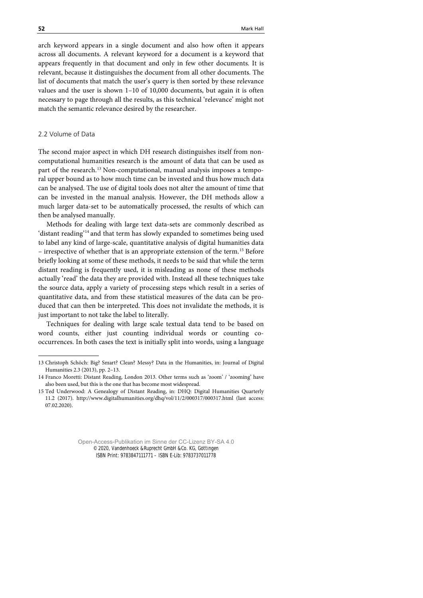arch keyword appears in a single document and also how often it appears across all documents. A relevant keyword for a document is a keyword that appears frequently in that document and only in few other documents. It is relevant, because it distinguishes the document from all other documents. The list of documents that match the user's query is then sorted by these relevance values and the user is shown 1–10 of 10,000 documents, but again it is often necessary to page through all the results, as this technical 'relevance' might not match the semantic relevance desired by the researcher.

### 2.2 Volume of Data

The second major aspect in which DH research distinguishes itself from noncomputational humanities research is the amount of data that can be used as part of the research.<sup>[13](#page--1-9)</sup> Non-computational, manual analysis imposes a temporal upper bound as to how much time can be invested and thus how much data can be analysed. The use of digital tools does not alter the amount of time that can be invested in the manual analysis. However, the DH methods allow a much larger data-set to be automatically processed, the results of which can then be analysed manually.

Methods for dealing with large text data-sets are commonly described as 'distant reading' [14](#page--1-6) and that term has slowly expanded to sometimes being used to label any kind of large-scale, quantitative analysis of digital humanities data – irrespective of whether that is an appropriate extension of the term. [15](#page--1-10) Before briefly looking at some of these methods, it needs to be said that while the term distant reading is frequently used, it is misleading as none of these methods actually 'read' the data they are provided with. Instead all these techniques take the source data, apply a variety of processing steps which result in a series of quantitative data, and from these statistical measures of the data can be produced that can then be interpreted. This does not invalidate the methods, it is just important to not take the label to literally.

Techniques for dealing with large scale textual data tend to be based on word counts, either just counting individual words or counting cooccurrences. In both cases the text is initially split into words, using a language

<sup>13</sup> Christoph Schöch: Big? Smart? Clean? Messy? Data in the Humanities, in: Journal of Digital Humanities 2.3 (2013), pp. 2–13.

<sup>14</sup> Franco Moretti: Distant Reading, London 2013. Other terms such as 'zoom' / 'zooming' have also been used, but this is the one that has become most widespread.

<sup>15</sup> Ted Underwood: A Genealogy of Distant Reading, in: DHQ: Digital Humanities Quarterly 11.2 (2017). http://www.digitalhumanities.org/dhq/vol/11/2/000317/000317.html (last access: 07.02.2020).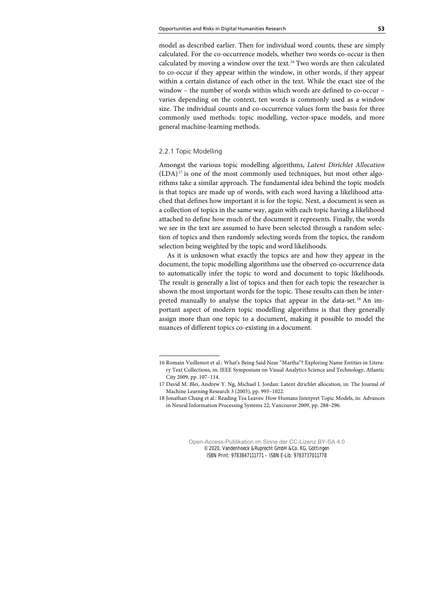model as described earlier. Then for individual word counts, these are simply calculated. For the co-occurrence models, whether two words co-occur is then calculated by moving a window over the text.[16](#page--1-0) Two words are then calculated to co-occur if they appear within the window, in other words, if they appear within a certain distance of each other in the text. While the exact size of the window – the number of words within which words are defined to co-occur – varies depending on the context, ten words is commonly used as a window size. The individual counts and co-occurrence values form the basis for three commonly used methods: topic modelling, vector-space models, and more general machine-learning methods.

### 2.2.1 Topic Modelling

Amongst the various topic modelling algorithms, *Latent Dirichlet Allocation*  $(LDA)^{17}$  $(LDA)^{17}$  $(LDA)^{17}$  is one of the most commonly used techniques, but most other algorithms take a similar approach. The fundamental idea behind the topic models is that topics are made up of words, with each word having a likelihood attached that defines how important it is for the topic. Next, a document is seen as a collection of topics in the same way, again with each topic having a likelihood attached to define how much of the document it represents. Finally, the words we see in the text are assumed to have been selected through a random selection of topics and then randomly selecting words from the topics, the random selection being weighted by the topic and word likelihoods.

As it is unknown what exactly the topics are and how they appear in the document, the topic modelling algorithms use the observed co-occurrence data to automatically infer the topic to word and document to topic likelihoods. The result is generally a list of topics and then for each topic the researcher is shown the most important words for the topic. These results can then be inter-preted manually to analyse the topics that appear in the data-set.<sup>[18](#page--1-8)</sup> An important aspect of modern topic modelling algorithms is that they generally assign more than one topic to a document, making it possible to model the nuances of different topics co-existing in a document.

<sup>16</sup> Romain Vuillemot et al.: What's Being Said Near "Martha"? Exploring Name Entities in Literary Text Collections, in: IEEE Symposium on Visual Analytics Science and Technology, Atlantic City 2009, pp. 107–114.

<sup>17</sup> David M. Blei, Andrew Y. Ng, Michael I. Jordan: Latent dirichlet allocation, in: The Journal of Machine Learning Research 3 (2003), pp. 993–1022.

<sup>18</sup> Jonathan Chang et al.: Reading Tea Leaves: How Humans Interpret Topic Models, in: Advances in Neural Information Processing Systems 22, Vancouver 2009, pp. 288–296.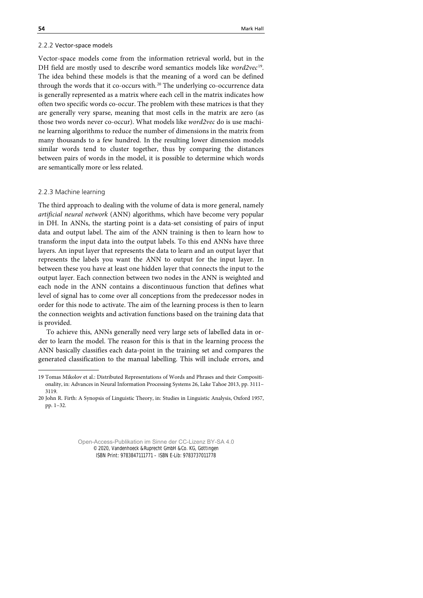#### 2.2.2 Vector-space models

Vector-space models come from the information retrieval world, but in the DH field are mostly used to describe word semantics models like *word2vec*[19](#page--1-6). The idea behind these models is that the meaning of a word can be defined through the words that it co-occurs with.<sup>[20](#page--1-7)</sup> The underlying co-occurrence data is generally represented as a matrix where each cell in the matrix indicates how often two specific words co-occur. The problem with these matrices is that they are generally very sparse, meaning that most cells in the matrix are zero (as those two words never co-occur). What models like *word2vec* do is use machine learning algorithms to reduce the number of dimensions in the matrix from many thousands to a few hundred. In the resulting lower dimension models similar words tend to cluster together, thus by comparing the distances between pairs of words in the model, it is possible to determine which words are semantically more or less related.

## 2.2.3 Machine learning

The third approach to dealing with the volume of data is more general, namely *artificial neural network* (ANN) algorithms, which have become very popular in DH. In ANNs, the starting point is a data-set consisting of pairs of input data and output label. The aim of the ANN training is then to learn how to transform the input data into the output labels. To this end ANNs have three layers. An input layer that represents the data to learn and an output layer that represents the labels you want the ANN to output for the input layer. In between these you have at least one hidden layer that connects the input to the output layer. Each connection between two nodes in the ANN is weighted and each node in the ANN contains a discontinuous function that defines what level of signal has to come over all conceptions from the predecessor nodes in order for this node to activate. The aim of the learning process is then to learn the connection weights and activation functions based on the training data that is provided.

To achieve this, ANNs generally need very large sets of labelled data in order to learn the model. The reason for this is that in the learning process the ANN basically classifies each data-point in the training set and compares the generated classification to the manual labelling. This will include errors, and

<sup>19</sup> Tomas Mikolov et al.: Distributed Representations of Words and Phrases and their Compositionality, in: Advances in Neural Information Processing Systems 26, Lake Tahoe 2013, pp. 3111– 3119.

<sup>20</sup> John R. Firth: A Synopsis of Linguistic Theory, in: Studies in Linguistic Analysis, Oxford 1957, pp. 1–32.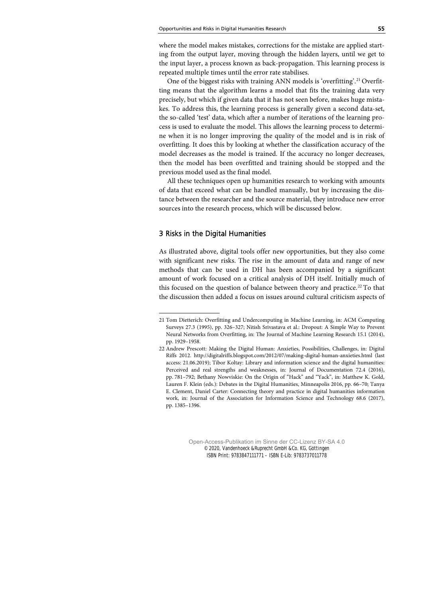where the model makes mistakes, corrections for the mistake are applied starting from the output layer, moving through the hidden layers, until we get to the input layer, a process known as back-propagation. This learning process is repeated multiple times until the error rate stabilises.

One of the biggest risks with training ANN models is 'overfitting'.<sup>[21](#page--1-11)</sup> Overfitting means that the algorithm learns a model that fits the training data very precisely, but which if given data that it has not seen before, makes huge mistakes. To address this, the learning process is generally given a second data-set, the so-called 'test' data, which after a number of iterations of the learning process is used to evaluate the model. This allows the learning process to determine when it is no longer improving the quality of the model and is in risk of overfitting. It does this by looking at whether the classification accuracy of the model decreases as the model is trained. If the accuracy no longer decreases, then the model has been overfitted and training should be stopped and the previous model used as the final model.

All these techniques open up humanities research to working with amounts of data that exceed what can be handled manually, but by increasing the distance between the researcher and the source material, they introduce new error sources into the research process, which will be discussed below.

# 3 Risks in the Digital Humanities

As illustrated above, digital tools offer new opportunities, but they also come with significant new risks. The rise in the amount of data and range of new methods that can be used in DH has been accompanied by a significant amount of work focused on a critical analysis of DH itself. Initially much of this focused on the question of balance between theory and practice.<sup>[22](#page--1-4)</sup> To that the discussion then added a focus on issues around cultural criticism aspects of

<sup>21</sup> Tom Dietterich: Overfitting and Undercomputing in Machine Learning, in: ACM Computing Surveys 27.3 (1995), pp. 326–327; Nitish Srivastava et al.: Dropout: A Simple Way to Prevent Neural Networks from Overfitting, in: The Journal of Machine Learning Research 15.1 (2014), pp. 1929–1958.

<sup>22</sup> Andrew Prescott: Making the Digital Human: Anxieties, Possibilities, Challenges, in: Digital Riffs 2012.<http://digitalriffs.blogspot.com/2012/07/making-digital-human-anxieties.html> (last access: 21.06.2019); Tibor Koltay: Library and information science and the digital humanities: Perceived and real strengths and weaknesses, in: Journal of Documentation 72.4 (2016), pp. 781–792; Bethany Nowviskie: On the Origin of "Hack" and "Yack", in: Matthew K. Gold, Lauren F. Klein (eds.): Debates in the Digital Humanities, Minneapolis 2016, pp. 66–70; Tanya E. Clement, Daniel Carter: Connecting theory and practice in digital humanities information work, in: Journal of the Association for Information Science and Technology 68.6 (2017), pp. 1385–1396.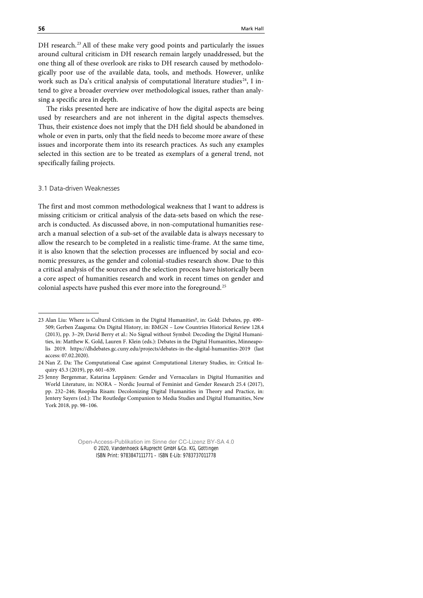DH research.<sup>[23](#page--1-12)</sup> All of these make very good points and particularly the issues around cultural criticism in DH research remain largely unaddressed, but the one thing all of these overlook are risks to DH research caused by methodologically poor use of the available data, tools, and methods. However, unlike work such as Da's critical analysis of computational literature studies<sup>[24](#page--1-9)</sup>, I intend to give a broader overview over methodological issues, rather than analysing a specific area in depth.

The risks presented here are indicative of how the digital aspects are being used by researchers and are not inherent in the digital aspects themselves. Thus, their existence does not imply that the DH field should be abandoned in whole or even in parts, only that the field needs to become more aware of these issues and incorporate them into its research practices. As such any examples selected in this section are to be treated as exemplars of a general trend, not specifically failing projects.

### 3.1 Data-driven Weaknesses

The first and most common methodological weakness that I want to address is missing criticism or critical analysis of the data-sets based on which the research is conducted. As discussed above, in non-computational humanities research a manual selection of a sub-set of the available data is always necessary to allow the research to be completed in a realistic time-frame. At the same time, it is also known that the selection processes are influenced by social and economic pressures, as the gender and colonial-studies research show. Due to this a critical analysis of the sources and the selection process have historically been a core aspect of humanities research and work in recent times on gender and colonial aspects have pushed this ever more into the foreground.[25](#page--1-6)

<sup>23</sup> Alan Liu: Where is Cultural Criticism in the Digital Humanities?, in: Gold: Debates, pp. 490– 509; Gerben Zaagsma: On Digital History, in: BMGN – Low Countries Historical Review 128.4 (2013), pp. 3–29; David Berry et al.: No Signal without Symbol: Decoding the Digital Humanities, in: Matthew K. Gold, Lauren F. Klein (eds.): Debates in the Digital Humanities, Minneapolis 2019. https://dhdebates.gc.cuny.edu/projects/debates-in-the-digital-humanities-2019 (last access: 07.02.2020).

<sup>24</sup> Nan Z. Da: The Computational Case against Computational Literary Studies, in: Critical Inquiry 45.3 (2019), pp. 601–639.

<sup>25</sup> Jenny Bergenmar, Katarina Leppänen: Gender and Vernaculars in Digital Humanities and World Literature, in: NORA – Nordic Journal of Feminist and Gender Research 25.4 (2017), pp. 232–246; Roopika Risam: Decolonizing Digital Humanities in Theory and Practice, in: Jentery Sayers (ed.): The Routledge Companion to Media Studies and Digital Humanities, New York 2018, pp. 98–106.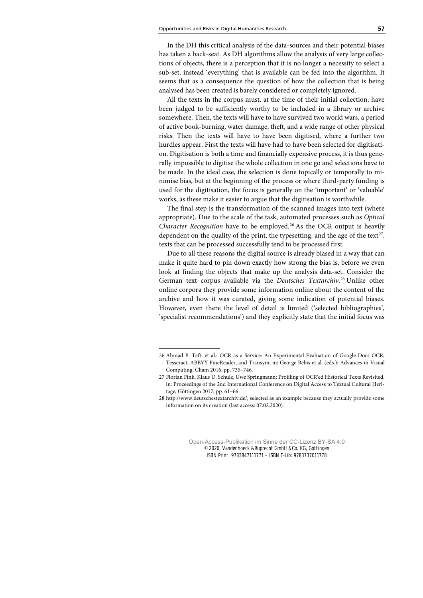In the DH this critical analysis of the data-sources and their potential biases has taken a back-seat. As DH algorithms allow the analysis of very large collections of objects, there is a perception that it is no longer a necessity to select a sub-set, instead 'everything' that is available can be fed into the algorithm. It seems that as a consequence the question of how the collection that is being analysed has been created is barely considered or completely ignored.

All the texts in the corpus must, at the time of their initial collection, have been judged to be sufficiently worthy to be included in a library or archive somewhere. Then, the texts will have to have survived two world wars, a period of active book-burning, water damage, theft, and a wide range of other physical risks. Then the texts will have to have been digitised, where a further two hurdles appear. First the texts will have had to have been selected for digitisation. Digitisation is both a time and financially expensive process, it is thus generally impossible to digitise the whole collection in one go and selections have to be made. In the ideal case, the selection is done topically or temporally to minimise bias, but at the beginning of the process or where third-party funding is used for the digitisation, the focus is generally on the 'important' or 'valuable' works, as these make it easier to argue that the digitisation is worthwhile.

The final step is the transformation of the scanned images into text (where appropriate). Due to the scale of the task, automated processes such as *Optical Character Recognition* have to be employed. [26](#page--1-13) As the OCR output is heavily dependent on the quality of the print, the typesetting, and the age of the text<sup>[27](#page--1-14)</sup>, texts that can be processed successfully tend to be processed first.

Due to all these reasons the digital source is already biased in a way that can make it quite hard to pin down exactly how strong the bias is, before we even look at finding the objects that make up the analysis data-set. Consider the German text corpus available via the *Deutsches Textarchiv*. [28](#page--1-8) Unlike other online corpora they provide some information online about the content of the archive and how it was curated, giving some indication of potential biases. However, even there the level of detail is limited ('selected bibliographies', 'specialist recommendations') and they explicitly state that the initial focus was

<sup>26</sup> Ahmad P. Tafti et al.: OCR as a Service: An Experimental Evaluation of Google Docs OCR, Tesseract, ABBYY FineReader, and Transym, in: George Bebis et al. (eds.): Advances in Visual Computing, Cham 2016, pp. 735–746.

<sup>27</sup> Florian Fink, Klaus U. Schulz, Uwe Springmann: Profiling of OCR'ed Historical Texts Revisited, in: Proceedings of the 2nd International Conference on Digital Access to Textual Cultural Heritage, Göttingen 2017, pp. 61–66.

<sup>28</sup> http://www.deutschestextarchiv.de/, selected as an example because they actually provide some information on its creation (last access: 07.02.2020).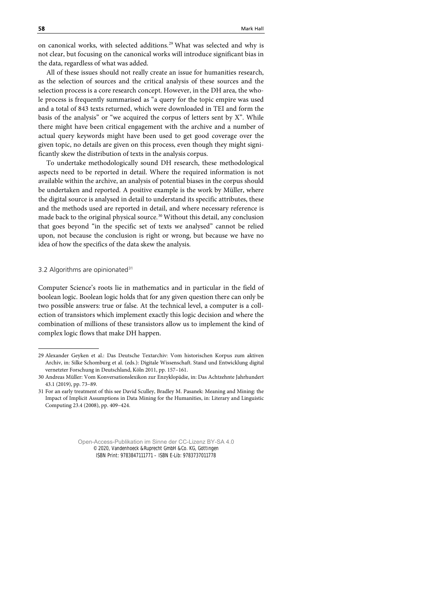on canonical works, with selected additions.<sup>[29](#page--1-15)</sup> What was selected and why is not clear, but focusing on the canonical works will introduce significant bias in the data, regardless of what was added.

All of these issues should not really create an issue for humanities research, as the selection of sources and the critical analysis of these sources and the selection process is a core research concept. However, in the DH area, the whole process is frequently summarised as "a query for the topic empire was used and a total of 843 texts returned, which were downloaded in TEI and form the basis of the analysis" or "we acquired the corpus of letters sent by X". While there might have been critical engagement with the archive and a number of actual query keywords might have been used to get good coverage over the given topic, no details are given on this process, even though they might significantly skew the distribution of texts in the analysis corpus.

To undertake methodologically sound DH research, these methodological aspects need to be reported in detail. Where the required information is not available within the archive, an analysis of potential biases in the corpus should be undertaken and reported. A positive example is the work by Müller, where the digital source is analysed in detail to understand its specific attributes, these and the methods used are reported in detail, and where necessary reference is made back to the original physical source.<sup>[30](#page--1-6)</sup> Without this detail, any conclusion that goes beyond "in the specific set of texts we analysed" cannot be relied upon, not because the conclusion is right or wrong, but because we have no idea of how the specifics of the data skew the analysis.

#### 3.2 Algorithms are opinionated $31$

Computer Science's roots lie in mathematics and in particular in the field of boolean logic. Boolean logic holds that for any given question there can only be two possible answers: true or false. At the technical level, a computer is a collection of transistors which implement exactly this logic decision and where the combination of millions of these transistors allow us to implement the kind of complex logic flows that make DH happen.

<sup>29</sup> Alexander Geyken et al.: Das Deutsche Textarchiv: Vom historischen Korpus zum aktiven Archiv, in: Silke Schomburg et al. (eds.): Digitale Wissenschaft. Stand und Entwicklung digital vernetzter Forschung in Deutschland, Köln 2011, pp. 157–161.

<sup>30</sup> Andreas Müller: Vom Konversationslexikon zur Enzyklopädie, in: Das Achtzehnte Jahrhundert 43.1 (2019), pp. 73–89.

<sup>31</sup> For an early treatment of this see David Sculley, Bradley M. Pasanek: Meaning and Mining: the Impact of Implicit Assumptions in Data Mining for the Humanities, in: Literary and Linguistic Computing 23.4 (2008), pp. 409–424.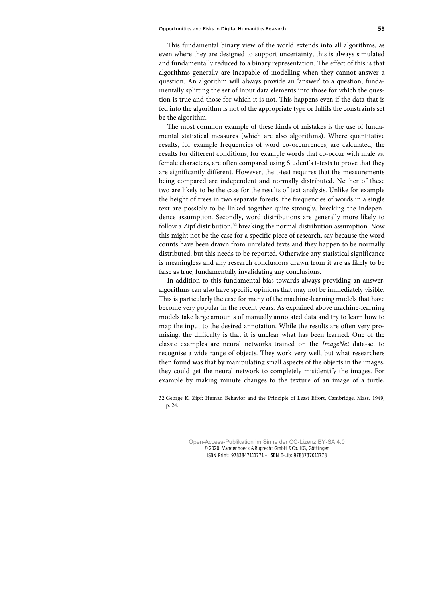This fundamental binary view of the world extends into all algorithms, as even where they are designed to support uncertainty, this is always simulated and fundamentally reduced to a binary representation. The effect of this is that algorithms generally are incapable of modelling when they cannot answer a question. An algorithm will always provide an 'answer' to a question, fundamentally splitting the set of input data elements into those for which the question is true and those for which it is not. This happens even if the data that is fed into the algorithm is not of the appropriate type or fulfils the constraints set be the algorithm.

The most common example of these kinds of mistakes is the use of fundamental statistical measures (which are also algorithms). Where quantitative results, for example frequencies of word co-occurrences, are calculated, the results for different conditions, for example words that co-occur with male vs. female characters, are often compared using Student's t-tests to prove that they are significantly different. However, the t-test requires that the measurements being compared are independent and normally distributed. Neither of these two are likely to be the case for the results of text analysis. Unlike for example the height of trees in two separate forests, the frequencies of words in a single text are possibly to be linked together quite strongly, breaking the independence assumption. Secondly, word distributions are generally more likely to follow a Zipf distribution, [32](#page--1-8) breaking the normal distribution assumption. Now this might not be the case for a specific piece of research, say because the word counts have been drawn from unrelated texts and they happen to be normally distributed, but this needs to be reported. Otherwise any statistical significance is meaningless and any research conclusions drawn from it are as likely to be false as true, fundamentally invalidating any conclusions.

In addition to this fundamental bias towards always providing an answer, algorithms can also have specific opinions that may not be immediately visible. This is particularly the case for many of the machine-learning models that have become very popular in the recent years. As explained above machine-learning models take large amounts of manually annotated data and try to learn how to map the input to the desired annotation. While the results are often very promising, the difficulty is that it is unclear what has been learned. One of the classic examples are neural networks trained on the *ImageNet* data-set to recognise a wide range of objects. They work very well, but what researchers then found was that by manipulating small aspects of the objects in the images, they could get the neural network to completely misidentify the images. For example by making minute changes to the texture of an image of a turtle,

<sup>32</sup> George K. Zipf: Human Behavior and the Principle of Least Effort, Cambridge, Mass. 1949, p. 24.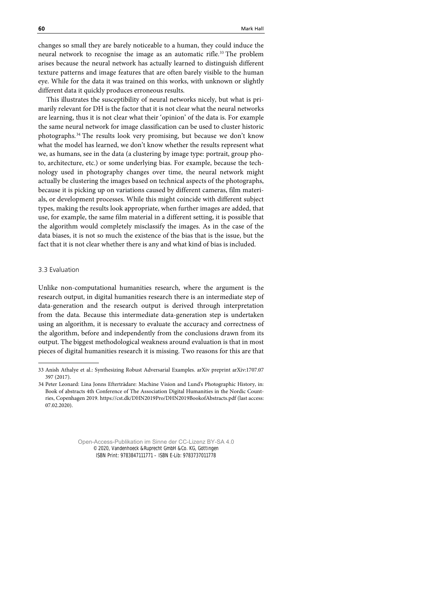changes so small they are barely noticeable to a human, they could induce the neural network to recognise the image as an automatic rifle.<sup>[33](#page--1-2)</sup> The problem arises because the neural network has actually learned to distinguish different texture patterns and image features that are often barely visible to the human eye. While for the data it was trained on this works, with unknown or slightly different data it quickly produces erroneous results.

This illustrates the susceptibility of neural networks nicely, but what is primarily relevant for DH is the factor that it is not clear what the neural networks are learning, thus it is not clear what their 'opinion' of the data is. For example the same neural network for image classification can be used to cluster historic photographs.[34](#page--1-3) The results look very promising, but because we don't know what the model has learned, we don't know whether the results represent what we, as humans, see in the data (a clustering by image type: portrait, group photo, architecture, etc.) or some underlying bias. For example, because the technology used in photography changes over time, the neural network might actually be clustering the images based on technical aspects of the photographs, because it is picking up on variations caused by different cameras, film materials, or development processes. While this might coincide with different subject types, making the results look appropriate, when further images are added, that use, for example, the same film material in a different setting, it is possible that the algorithm would completely misclassify the images. As in the case of the data biases, it is not so much the existence of the bias that is the issue, but the fact that it is not clear whether there is any and what kind of bias is included.

### 3.3 Evaluation

Unlike non-computational humanities research, where the argument is the research output, in digital humanities research there is an intermediate step of data-generation and the research output is derived through interpretation from the data. Because this intermediate data-generation step is undertaken using an algorithm, it is necessary to evaluate the accuracy and correctness of the algorithm, before and independently from the conclusions drawn from its output. The biggest methodological weakness around evaluation is that in most pieces of digital humanities research it is missing. Two reasons for this are that

<sup>33</sup> Anish Athalye et al.: Synthesizing Robust Adversarial Examples. arXiv preprint arXiv:1707.07 397 (2017).

<sup>34</sup> Peter Leonard: Lina Jonns Efterträdare: Machine Vision and Lund's Photographic History, in: Book of abstracts 4th Conference of The Association Digital Humanities in the Nordic Countries, Copenhagen 2019. https://cst.dk/DHN2019Pro/DHN2019BookofAbstracts.pdf (last access: 07.02.2020).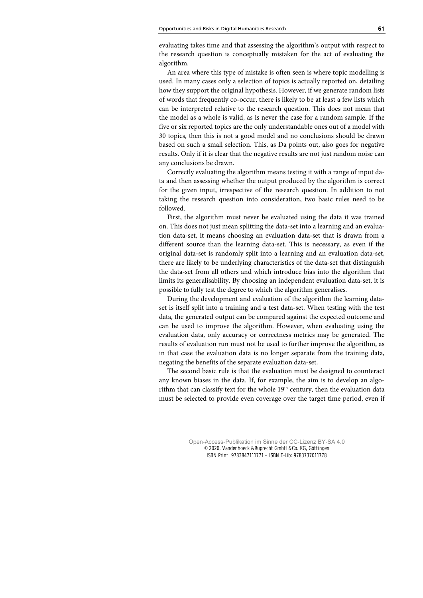evaluating takes time and that assessing the algorithm's output with respect to the research question is conceptually mistaken for the act of evaluating the algorithm.

An area where this type of mistake is often seen is where topic modelling is used. In many cases only a selection of topics is actually reported on, detailing how they support the original hypothesis. However, if we generate random lists of words that frequently co-occur, there is likely to be at least a few lists which can be interpreted relative to the research question. This does not mean that the model as a whole is valid, as is never the case for a random sample. If the five or six reported topics are the only understandable ones out of a model with 30 topics, then this is not a good model and no conclusions should be drawn based on such a small selection. This, as Da points out, also goes for negative results. Only if it is clear that the negative results are not just random noise can any conclusions be drawn.

Correctly evaluating the algorithm means testing it with a range of input data and then assessing whether the output produced by the algorithm is correct for the given input, irrespective of the research question. In addition to not taking the research question into consideration, two basic rules need to be followed.

First, the algorithm must never be evaluated using the data it was trained on. This does not just mean splitting the data-set into a learning and an evaluation data-set, it means choosing an evaluation data-set that is drawn from a different source than the learning data-set. This is necessary, as even if the original data-set is randomly split into a learning and an evaluation data-set, there are likely to be underlying characteristics of the data-set that distinguish the data-set from all others and which introduce bias into the algorithm that limits its generalisability. By choosing an independent evaluation data-set, it is possible to fully test the degree to which the algorithm generalises.

During the development and evaluation of the algorithm the learning dataset is itself split into a training and a test data-set. When testing with the test data, the generated output can be compared against the expected outcome and can be used to improve the algorithm. However, when evaluating using the evaluation data, only accuracy or correctness metrics may be generated. The results of evaluation run must not be used to further improve the algorithm, as in that case the evaluation data is no longer separate from the training data, negating the benefits of the separate evaluation data-set.

The second basic rule is that the evaluation must be designed to counteract any known biases in the data. If, for example, the aim is to develop an algorithm that can classify text for the whole  $19<sup>th</sup>$  century, then the evaluation data must be selected to provide even coverage over the target time period, even if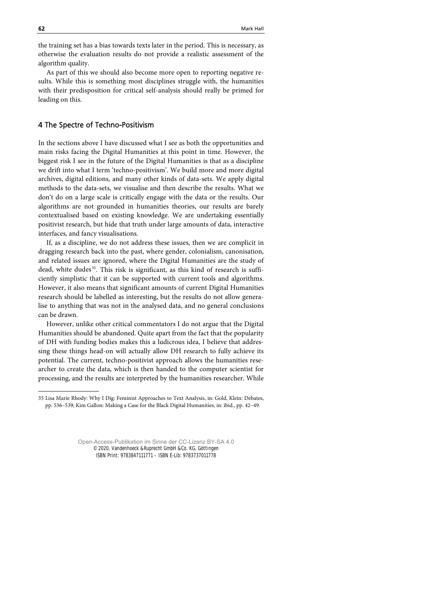the training set has a bias towards texts later in the period. This is necessary, as otherwise the evaluation results do not provide a realistic assessment of the algorithm quality.

As part of this we should also become more open to reporting negative results. While this is something most disciplines struggle with, the humanities with their predisposition for critical self-analysis should really be primed for leading on this.

# 4 The Spectre of Techno-Positivism

In the sections above I have discussed what I see as both the opportunities and main risks facing the Digital Humanities at this point in time. However, the biggest risk I see in the future of the Digital Humanities is that as a discipline we drift into what I term 'techno-positivism'. We build more and more digital archives, digital editions, and many other kinds of data-sets. We apply digital methods to the data-sets, we visualise and then describe the results. What we don't do on a large scale is critically engage with the data or the results. Our algorithms are not grounded in humanities theories, our results are barely contextualised based on existing knowledge. We are undertaking essentially positivist research, but hide that truth under large amounts of data, interactive interfaces, and fancy visualisations.

If, as a discipline, we do not address these issues, then we are complicit in dragging research back into the past, where gender, colonialism, canonisation, and related issues are ignored, where the Digital Humanities are the study of dead, white dudes<sup>[35](#page--1-7)</sup>. This risk is significant, as this kind of research is sufficiently simplistic that it can be supported with current tools and algorithms. However, it also means that significant amounts of current Digital Humanities research should be labelled as interesting, but the results do not allow generalise to anything that was not in the analysed data, and no general conclusions can be drawn.

However, unlike other critical commentators I do not argue that the Digital Humanities should be abandoned. Quite apart from the fact that the popularity of DH with funding bodies makes this a ludicrous idea, I believe that addressing these things head-on will actually allow DH research to fully achieve its potential. The current, techno-positivist approach allows the humanities researcher to create the data, which is then handed to the computer scientist for processing, and the results are interpreted by the humanities researcher. While

<sup>35</sup> Lisa Marie Rhody: Why I Dig: Feminist Approaches to Text Analysis, in: Gold, Klein: Debates, pp. 536–539; Kim Gallon: Making a Case for the Black Digital Humanities, in: ibid., pp. 42–49.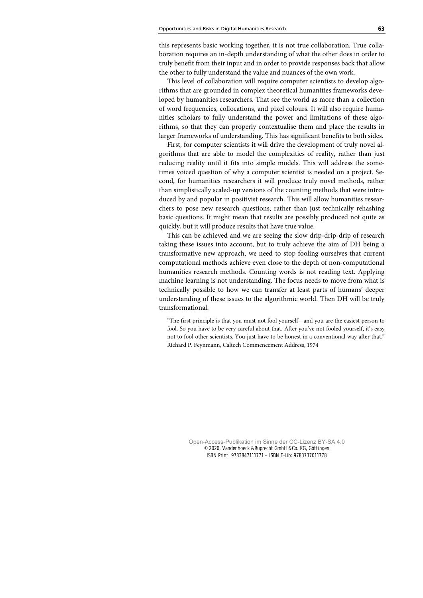this represents basic working together, it is not true collaboration. True collaboration requires an in-depth understanding of what the other does in order to truly benefit from their input and in order to provide responses back that allow the other to fully understand the value and nuances of the own work.

This level of collaboration will require computer scientists to develop algorithms that are grounded in complex theoretical humanities frameworks developed by humanities researchers. That see the world as more than a collection of word frequencies, collocations, and pixel colours. It will also require humanities scholars to fully understand the power and limitations of these algorithms, so that they can properly contextualise them and place the results in larger frameworks of understanding. This has significant benefits to both sides.

First, for computer scientists it will drive the development of truly novel algorithms that are able to model the complexities of reality, rather than just reducing reality until it fits into simple models. This will address the sometimes voiced question of why a computer scientist is needed on a project. Second, for humanities researchers it will produce truly novel methods, rather than simplistically scaled-up versions of the counting methods that were introduced by and popular in positivist research. This will allow humanities researchers to pose new research questions, rather than just technically rehashing basic questions. It might mean that results are possibly produced not quite as quickly, but it will produce results that have true value.

This can be achieved and we are seeing the slow drip-drip-drip of research taking these issues into account, but to truly achieve the aim of DH being a transformative new approach, we need to stop fooling ourselves that current computational methods achieve even close to the depth of non-computational humanities research methods. Counting words is not reading text. Applying machine learning is not understanding. The focus needs to move from what is technically possible to how we can transfer at least parts of humans' deeper understanding of these issues to the algorithmic world. Then DH will be truly transformational.

"The first principle is that you must not fool yourself—and you are the easiest person to fool. So you have to be very careful about that. After you've not fooled yourself, it's easy not to fool other scientists. You just have to be honest in a conventional way after that." Richard P. Feynmann, Caltech Commencement Address, 1974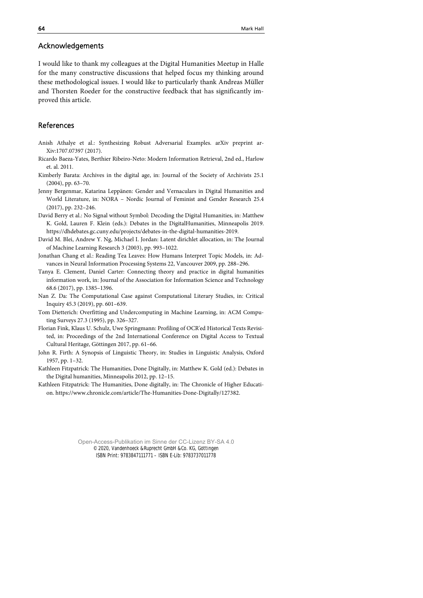# Acknowledgements

I would like to thank my colleagues at the Digital Humanities Meetup in Halle for the many constructive discussions that helped focus my thinking around these methodological issues. I would like to particularly thank Andreas Müller and Thorsten Roeder for the constructive feedback that has significantly improved this article.

# References

- Anish Athalye et al.: Synthesizing Robust Adversarial Examples. arXiv preprint ar-Xiv:1707.07397 (2017).
- Ricardo Baeza-Yates, Berthier Ribeiro-Neto: Modern Information Retrieval, 2nd ed., Harlow et. al. 2011.
- Kimberly Barata: Archives in the digital age, in: Journal of the Society of Archivists 25.1 (2004), pp. 63–70.
- Jenny Bergenmar, Katarina Leppänen: Gender and Vernaculars in Digital Humanities and World Literature, in: NORA – Nordic Journal of Feminist and Gender Research 25.4 (2017), pp. 232–246.
- David Berry et al.: No Signal without Symbol: Decoding the Digital Humanities, in: Matthew K. Gold, Lauren F. Klein (eds.): Debates in the DigitalHumanities, Minneapolis 2019. https://dhdebates.gc.cuny.edu/projects/debates-in-the-digital-humanities-2019.
- David M. Blei, Andrew Y. Ng, Michael I. Jordan: Latent dirichlet allocation, in: The Journal of Machine Learning Research 3 (2003), pp. 993–1022.
- Jonathan Chang et al.: Reading Tea Leaves: How Humans Interpret Topic Models, in: Advances in Neural Information Processing Systems 22, Vancouver 2009, pp. 288–296.
- Tanya E. Clement, Daniel Carter: Connecting theory and practice in digital humanities information work, in: Journal of the Association for Information Science and Technology 68.6 (2017), pp. 1385–1396.
- Nan Z. Da: The Computational Case against Computational Literary Studies, in: Critical Inquiry 45.3 (2019), pp. 601–639.
- Tom Dietterich: Overfitting and Undercomputing in Machine Learning, in: ACM Computing Surveys 27.3 (1995), pp. 326–327.
- Florian Fink, Klaus U. Schulz, Uwe Springmann: Profiling of OCR'ed Historical Texts Revisited, in: Proceedings of the 2nd International Conference on Digital Access to Textual Cultural Heritage, Göttingen 2017, pp. 61–66.
- John R. Firth: A Synopsis of Linguistic Theory, in: Studies in Linguistic Analysis, Oxford 1957, pp. 1–32.
- Kathleen Fitzpatrick: The Humanities, Done Digitally, in: Matthew K. Gold (ed.): Debates in the Digital humanities, Minneapolis 2012, pp. 12–15.
- Kathleen Fitzpatrick: The Humanities, Done digitally, in: The Chronicle of Higher Education. https://www.chronicle.com/article/The-Humanities-Done-Digitally/127382.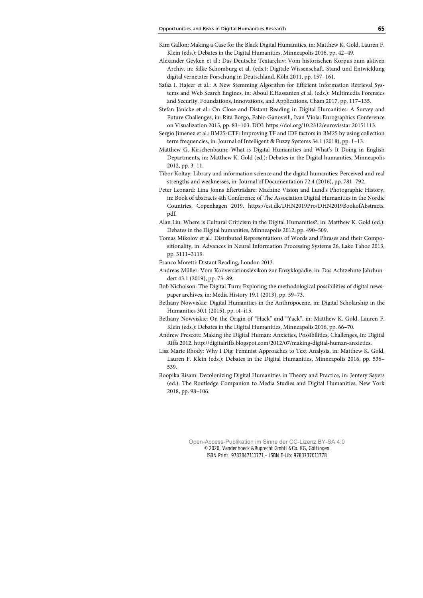- Kim Gallon: Making a Case for the Black Digital Humanities, in: Matthew K. Gold, Lauren F. Klein (eds.): Debates in the Digital Humanities, Minneapolis 2016, pp. 42–49.
- Alexander Geyken et al.: Das Deutsche Textarchiv: Vom historischen Korpus zum aktiven Archiv, in: Silke Schomburg et al. (eds.): Digitale Wissenschaft. Stand und Entwicklung digital vernetzter Forschung in Deutschland, Köln 2011, pp. 157–161.
- Safaa I. Hajeer et al.: A New Stemming Algorithm for Efficient Information Retrieval Systems and Web Search Engines, in: Aboul E.Hassanien et al. (eds.): Multimedia Forensics and Security. Foundations, Innovations, and Applications, Cham 2017, pp. 117–135.
- Stefan Jänicke et al.: On Close and Distant Reading in Digital Humanities: A Survey and Future Challenges, in: Rita Borgo, Fabio Ganovelli, Ivan Viola: Eurographics Conference on Visualization 2015, pp. 83–103. DOI: https://doi.org/10.2312/eurovisstar.20151113.
- Sergio Jimenez et al.: BM25-CTF: Improving TF and IDF factors in BM25 by using collection term frequencies, in: Journal of Intelligent & Fuzzy Systems 34.1 (2018), pp. 1–13.
- Matthew G. Kirschenbaum: What is Digital Humanities and What's It Doing in English Departments, in: Matthew K. Gold (ed.): Debates in the Digital humanities, Minneapolis 2012, pp. 3–11.
- Tibor Koltay: Library and information science and the digital humanities: Perceived and real strengths and weaknesses, in: Journal of Documentation 72.4 (2016), pp. 781–792.
- Peter Leonard: Lina Jonns Efterträdare: Machine Vision and Lund's Photographic History, in: Book of abstracts 4th Conference of The Association Digital Humanities in the Nordic Countries, Copenhagen 2019. https://cst.dk/DHN2019Pro/DHN2019BookofAbstracts. pdf.
- Alan Liu: Where is Cultural Criticism in the Digital Humanities?, in: Matthew K. Gold (ed.): Debates in the Digital humanities, Minneapolis 2012, pp. 490–509.
- Tomas Mikolov et al.: Distributed Representations of Words and Phrases and their Compositionality, in: Advances in Neural Information Processing Systems 26, Lake Tahoe 2013, pp. 3111–3119.
- Franco Moretti: Distant Reading, London 2013.
- Andreas Müller: Vom Konversationslexikon zur Enzyklopädie, in: Das Achtzehnte Jahrhundert 43.1 (2019), pp. 73–89.
- Bob Nicholson: The Digital Turn: Exploring the methodological possibilities of digital newspaper archives, in: Media History 19.1 (2013), pp. 59–73.
- Bethany Nowviskie: Digital Humanities in the Anthropocene, in: Digital Scholarship in the Humanities 30.1 (2015), pp. i4–i15.
- Bethany Nowviskie: On the Origin of "Hack" and "Yack", in: Matthew K. Gold, Lauren F. Klein (eds.): Debates in the Digital Humanities, Minneapolis 2016, pp. 66–70.
- Andrew Prescott: Making the Digital Human: Anxieties, Possibilities, Challenges, in: Digital Riffs 2012. http://digitalriffs.blogspot.com/2012/07/making-digital-human-anxieties.
- Lisa Marie Rhody: Why I Dig: Feminist Approaches to Text Analysis, in: Matthew K. Gold, Lauren F. Klein (eds.): Debates in the Digital Humanities, Minneapolis 2016, pp. 536– 539.
- Roopika Risam: Decolonizing Digital Humanities in Theory and Practice, in: Jentery Sayers (ed.): The Routledge Companion to Media Studies and Digital Humanities, New York 2018, pp. 98–106.